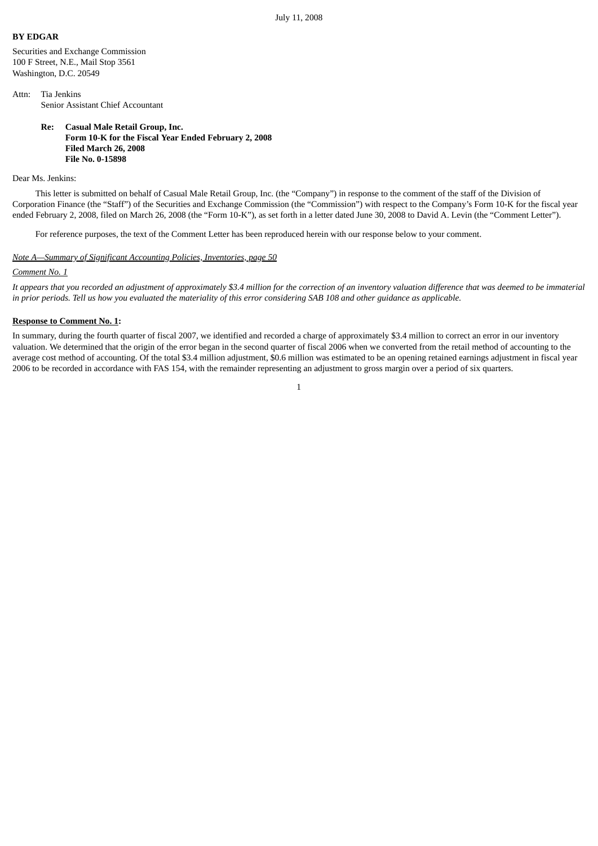## **BY EDGAR**

Securities and Exchange Commission 100 F Street, N.E., Mail Stop 3561 Washington, D.C. 20549

Attn: Tia Jenkins Senior Assistant Chief Accountant

> **Re: Casual Male Retail Group, Inc. Form 10-K for the Fiscal Year Ended February 2, 2008 Filed March 26, 2008 File No. 0-15898**

## Dear Ms. Jenkins:

This letter is submitted on behalf of Casual Male Retail Group, Inc. (the "Company") in response to the comment of the staff of the Division of Corporation Finance (the "Staff") of the Securities and Exchange Commission (the "Commission") with respect to the Company's Form 10-K for the fiscal year ended February 2, 2008, filed on March 26, 2008 (the "Form 10-K"), as set forth in a letter dated June 30, 2008 to David A. Levin (the "Comment Letter").

For reference purposes, the text of the Comment Letter has been reproduced herein with our response below to your comment.

# *Note A—Summary of Significant Accounting Policies, Inventories, page 50*

### *Comment No. 1*

*It appears that you recorded an adjustment of approximately \$3.4 million for the correction of an inventory valuation difference that was deemed to be immaterial in prior periods. Tell us how you evaluated the materiality of this error considering SAB 108 and other guidance as applicable.*

### **Response to Comment No. 1:**

In summary, during the fourth quarter of fiscal 2007, we identified and recorded a charge of approximately \$3.4 million to correct an error in our inventory valuation. We determined that the origin of the error began in the second quarter of fiscal 2006 when we converted from the retail method of accounting to the average cost method of accounting. Of the total \$3.4 million adjustment, \$0.6 million was estimated to be an opening retained earnings adjustment in fiscal year 2006 to be recorded in accordance with FAS 154, with the remainder representing an adjustment to gross margin over a period of six quarters.

1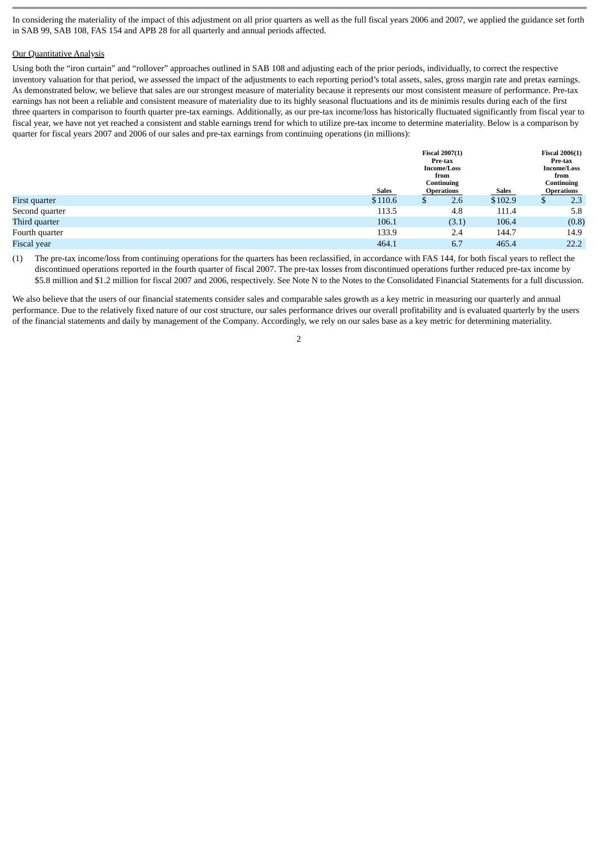In considering the materiality of the impact of this adjustment on all prior quarters as well as the full fiscal years 2006 and 2007, we applied the guidance set forth in SAB 99, SAB 108, FAS 154 and APB 28 for all quarterly and annual periods affected.

### Our Quantitative Analysis

Using both the "iron curtain" and "rollover" approaches outlined in SAB 108 and adjusting each of the prior periods, individually, to correct the respective inventory valuation for that period, we assessed the impact of the adjustments to each reporting period's total assets, sales, gross margin rate and pretax earnings. As demonstrated below, we believe that sales are our strongest measure of materiality because it represents our most consistent measure of performance. Pre-tax earnings has not been a reliable and consistent measure of materiality due to its highly seasonal fluctuations and its de minimis results during each of the first three quarters in comparison to fourth quarter pre-tax earnings. Additionally, as our pre-tax income/loss has historically fluctuated significantly from fiscal year to fiscal year, we have not yet reached a consistent and stable earnings trend for which to utilize pre-tax income to determine materiality. Below is a comparison by quarter for fiscal years 2007 and 2006 of our sales and pre-tax earnings from continuing operations (in millions):

|                |         | <b>Fiscal 2007(1)</b><br>Pre-tax<br><b>Income/Loss</b><br>from<br>Continuing<br><b>Sales</b><br>Sales<br><b>Operations</b> |       |         | <b>Fiscal 2006(1)</b><br>Pre-tax<br><b>Income/Loss</b><br>from<br>Continuing<br><b>Operations</b> |       |
|----------------|---------|----------------------------------------------------------------------------------------------------------------------------|-------|---------|---------------------------------------------------------------------------------------------------|-------|
|                |         |                                                                                                                            |       |         |                                                                                                   |       |
| First quarter  | \$110.6 | \$                                                                                                                         | 2.6   | \$102.9 | \$                                                                                                | 2.3   |
| Second quarter | 113.5   |                                                                                                                            | 4.8   | 111.4   |                                                                                                   | 5.8   |
| Third quarter  | 106.1   |                                                                                                                            | (3.1) | 106.4   |                                                                                                   | (0.8) |
| Fourth quarter | 133.9   |                                                                                                                            | 2.4   | 144.7   |                                                                                                   | 14.9  |
| Fiscal year    | 464.1   |                                                                                                                            | 6.7   | 465.4   |                                                                                                   | 22.2  |

(1) The pre-tax income/loss from continuing operations for the quarters has been reclassified, in accordance with FAS 144, for both fiscal years to reflect the discontinued operations reported in the fourth quarter of fiscal 2007. The pre-tax losses from discontinued operations further reduced pre-tax income by \$5.8 million and \$1.2 million for fiscal 2007 and 2006, respectively. See Note N to the Notes to the Consolidated Financial Statements for a full discussion.

We also believe that the users of our financial statements consider sales and comparable sales growth as a key metric in measuring our quarterly and annual performance. Due to the relatively fixed nature of our cost structure, our sales performance drives our overall profitability and is evaluated quarterly by the users of the financial statements and daily by management of the Company. Accordingly, we rely on our sales base as a key metric for determining materiality.

 $\overline{2}$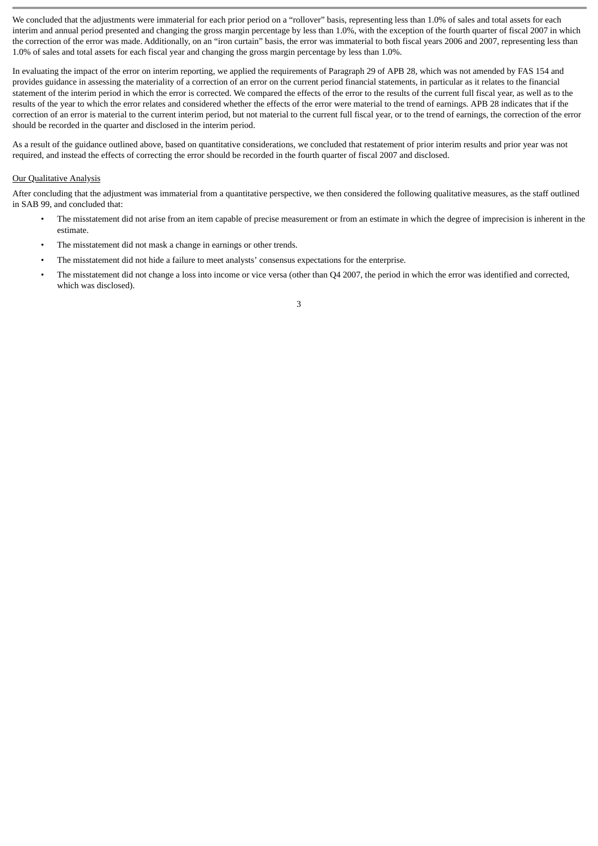We concluded that the adjustments were immaterial for each prior period on a "rollover" basis, representing less than 1.0% of sales and total assets for each interim and annual period presented and changing the gross margin percentage by less than 1.0%, with the exception of the fourth quarter of fiscal 2007 in which the correction of the error was made. Additionally, on an "iron curtain" basis, the error was immaterial to both fiscal years 2006 and 2007, representing less than 1.0% of sales and total assets for each fiscal year and changing the gross margin percentage by less than 1.0%.

In evaluating the impact of the error on interim reporting, we applied the requirements of Paragraph 29 of APB 28, which was not amended by FAS 154 and provides guidance in assessing the materiality of a correction of an error on the current period financial statements, in particular as it relates to the financial statement of the interim period in which the error is corrected. We compared the effects of the error to the results of the current full fiscal year, as well as to the results of the year to which the error relates and considered whether the effects of the error were material to the trend of earnings. APB 28 indicates that if the correction of an error is material to the current interim period, but not material to the current full fiscal year, or to the trend of earnings, the correction of the error should be recorded in the quarter and disclosed in the interim period.

As a result of the guidance outlined above, based on quantitative considerations, we concluded that restatement of prior interim results and prior year was not required, and instead the effects of correcting the error should be recorded in the fourth quarter of fiscal 2007 and disclosed.

## Our Qualitative Analysis

After concluding that the adjustment was immaterial from a quantitative perspective, we then considered the following qualitative measures, as the staff outlined in SAB 99, and concluded that:

- The misstatement did not arise from an item capable of precise measurement or from an estimate in which the degree of imprecision is inherent in the estimate.
- The misstatement did not mask a change in earnings or other trends.
- The misstatement did not hide a failure to meet analysts' consensus expectations for the enterprise.
- The misstatement did not change a loss into income or vice versa (other than Q4 2007, the period in which the error was identified and corrected, which was disclosed).

3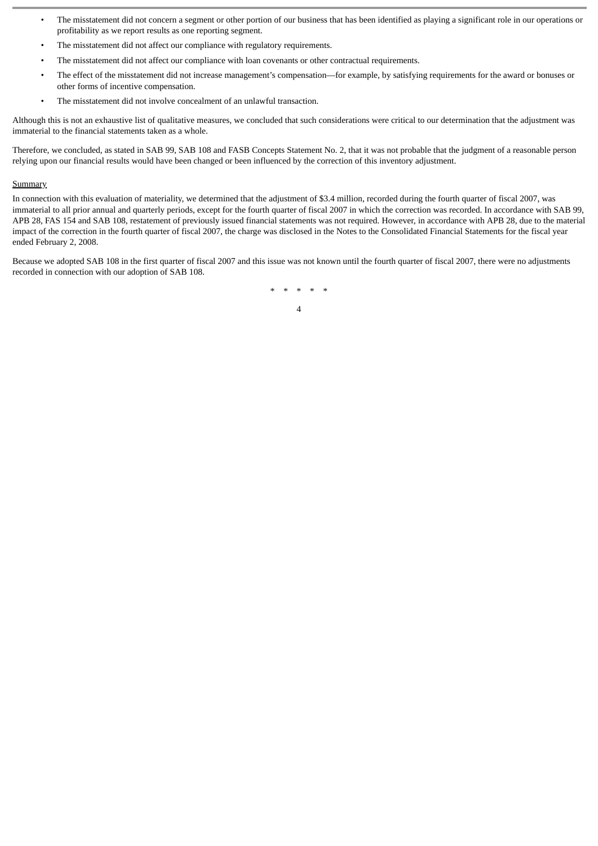- The misstatement did not concern a segment or other portion of our business that has been identified as playing a significant role in our operations or profitability as we report results as one reporting segment.
- The misstatement did not affect our compliance with regulatory requirements.
- The misstatement did not affect our compliance with loan covenants or other contractual requirements.
- The effect of the misstatement did not increase management's compensation—for example, by satisfying requirements for the award or bonuses or other forms of incentive compensation.
- The misstatement did not involve concealment of an unlawful transaction.

Although this is not an exhaustive list of qualitative measures, we concluded that such considerations were critical to our determination that the adjustment was immaterial to the financial statements taken as a whole.

Therefore, we concluded, as stated in SAB 99, SAB 108 and FASB Concepts Statement No. 2, that it was not probable that the judgment of a reasonable person relying upon our financial results would have been changed or been influenced by the correction of this inventory adjustment.

#### **Summary**

In connection with this evaluation of materiality, we determined that the adjustment of \$3.4 million, recorded during the fourth quarter of fiscal 2007, was immaterial to all prior annual and quarterly periods, except for the fourth quarter of fiscal 2007 in which the correction was recorded. In accordance with SAB 99, APB 28, FAS 154 and SAB 108, restatement of previously issued financial statements was not required. However, in accordance with APB 28, due to the material impact of the correction in the fourth quarter of fiscal 2007, the charge was disclosed in the Notes to the Consolidated Financial Statements for the fiscal year ended February 2, 2008.

Because we adopted SAB 108 in the first quarter of fiscal 2007 and this issue was not known until the fourth quarter of fiscal 2007, there were no adjustments recorded in connection with our adoption of SAB 108.

> \* \* \* \* \* 4